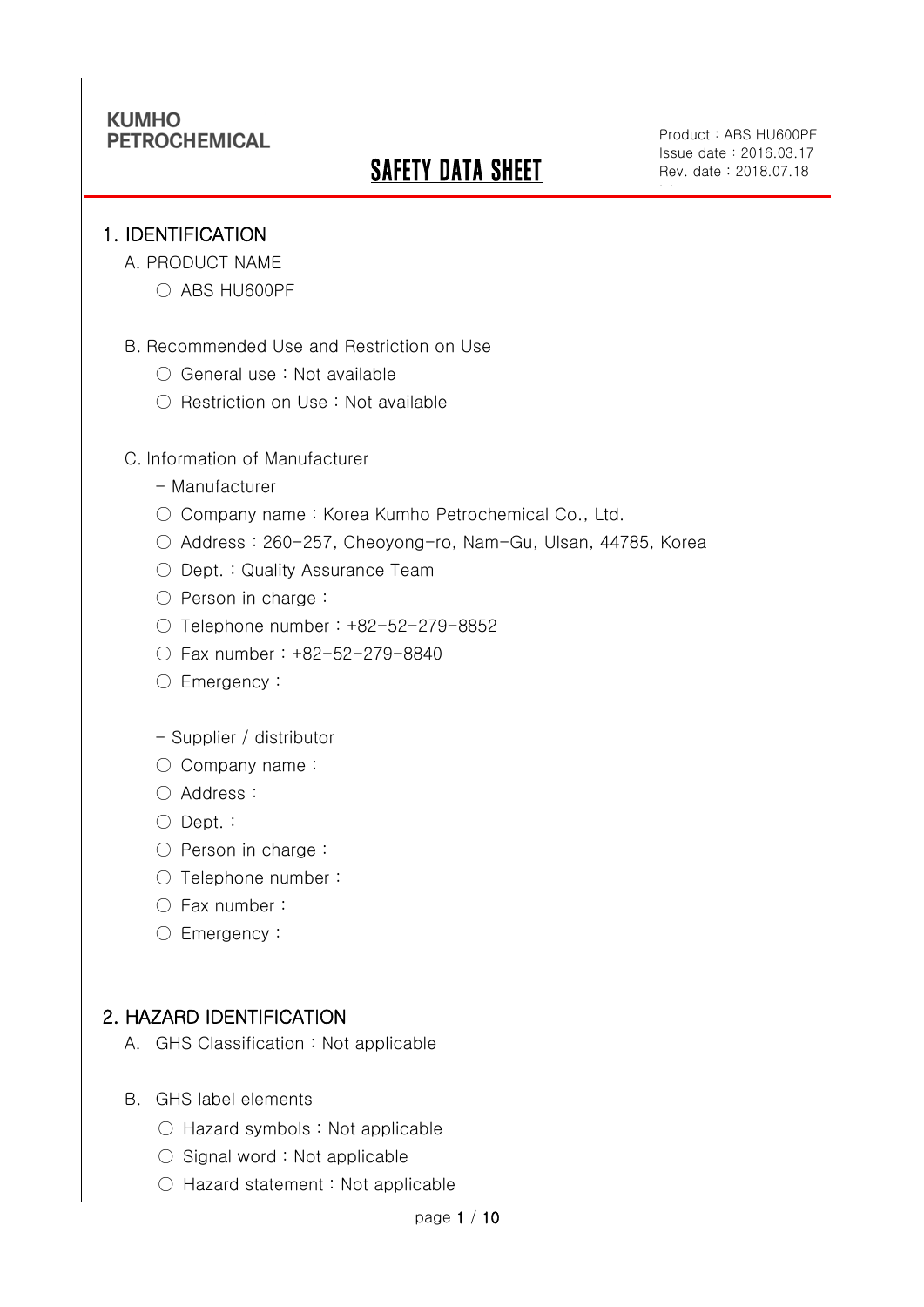# **SAFETY DATA SHEET**

Product: ABS HU600PF Issue date:2016.03.17 Rev. date : 2018.07.18

ble

#### 1. IDENTIFICATION

Ī

- A. PRODUCT NAME
	- ABS HU600PF
- B. Recommended Use and Restriction on Use
	- General use : Not available
	- Restriction on Use : Not available

#### C. Information of Manufacturer

- Manufacturer
- Company name: Korea Kumho Petrochemical Co., Ltd.
- Address : 260-257, Cheoyong-ro, Nam-Gu, Ulsan, 44785, Korea
- Dept. : Quality Assurance Team
- Person in charge :
- Telephone number : +82-52-279-8852
- Fax number : +82-52-279-8840
- Emergency:

#### - Supplier / distributor

- Company name:
- Address :
- Dept. :
- Person in charge :
- Telephone number :
- Fax number :
- Emergency:

### 2. HAZARD IDENTIFICATION

- A. GHS Classification : Not applicable
- B. GHS label elements
	- Hazard symbols : Not applicable
	- $\bigcirc$  Signal word : Not applicable
	- Hazard statement : Not applicable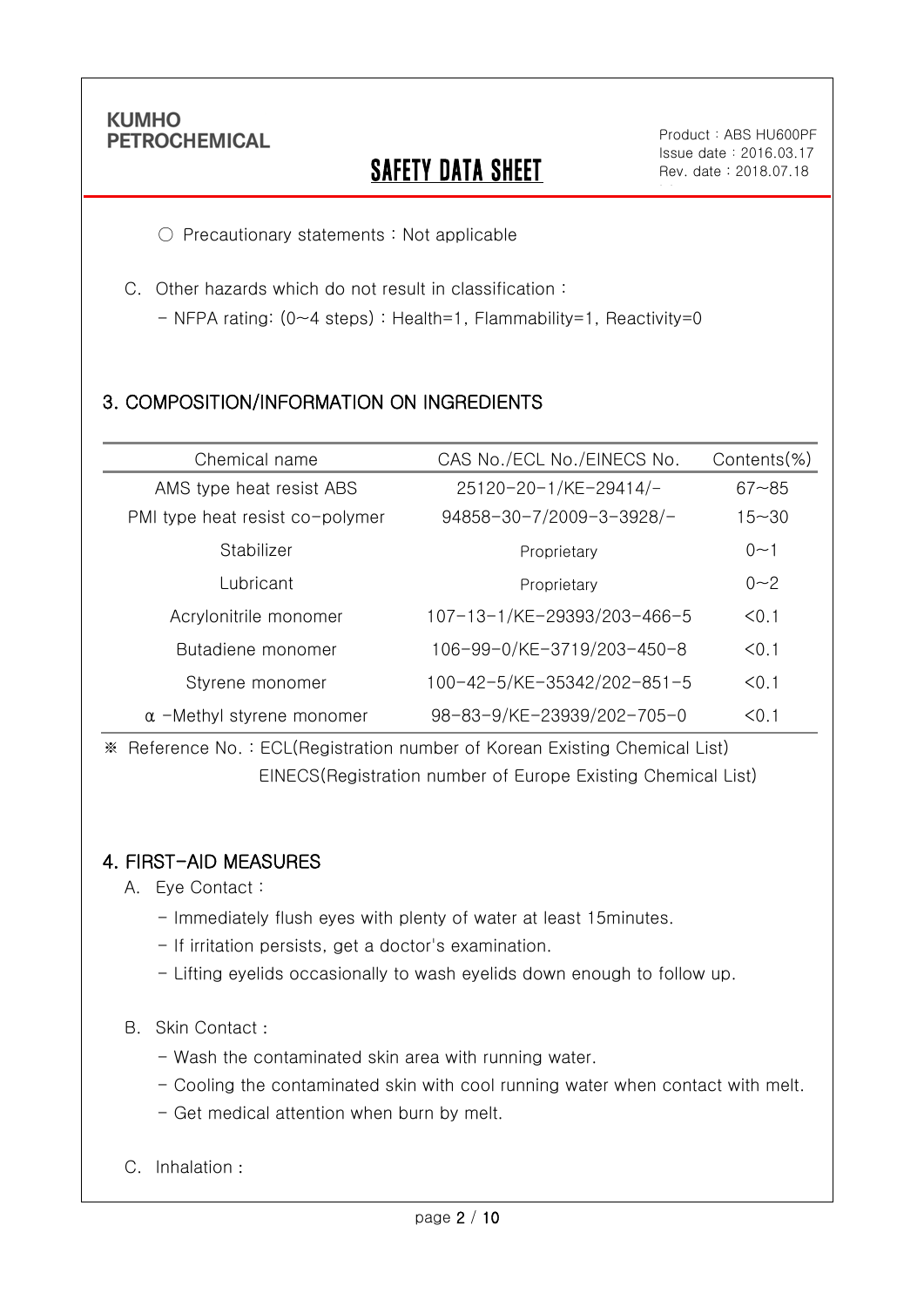Ī

## **SAFETY DATA SHEET**

Product: ABS HU600PF Issue date:2016.03.17 Rev. date : 2018.07.18

ble

○ Precautionary statements : Not applicable

C. Other hazards which do not result in classification :

- NFPA rating: (0~4 steps) : Health=1, Flammability=1, Reactivity=0

## 3. COMPOSITION/INFORMATION ON INGREDIENTS

| Chemical name                    | CAS No./ECL No./EINECS No.  | Contents(%) |
|----------------------------------|-----------------------------|-------------|
| AMS type heat resist ABS         | 25120-20-1/KE-29414/-       | $67 - 85$   |
| PMI type heat resist co-polymer  | 94858-30-7/2009-3-3928/-    | $15 - 30$   |
| Stabilizer                       | Proprietary                 | $0 - 1$     |
| Lubricant                        | Proprietary                 | $0 - 2$     |
| Acrylonitrile monomer            | 107-13-1/KE-29393/203-466-5 | < 0.1       |
| Butadiene monomer                | 106-99-0/KE-3719/203-450-8  | < 0.1       |
| Styrene monomer                  | 100-42-5/KE-35342/202-851-5 | < 0.1       |
| $\alpha$ -Methyl styrene monomer | 98-83-9/KE-23939/202-705-0  | < 0.1       |

※ Reference No. : ECL(Registration number of Korean Existing Chemical List) EINECS(Registration number of Europe Existing Chemical List)

### 4. FIRST-AID MEASURES

A. Eye Contact :

- Immediately flush eyes with plenty of water at least 15minutes.
- If irritation persists, get a doctor's examination.
- Lifting eyelids occasionally to wash eyelids down enough to follow up.

#### B. Skin Contact :

- Wash the contaminated skin area with running water.
- Cooling the contaminated skin with cool running water when contact with melt.
- Get medical attention when burn by melt.
- C. Inhalation :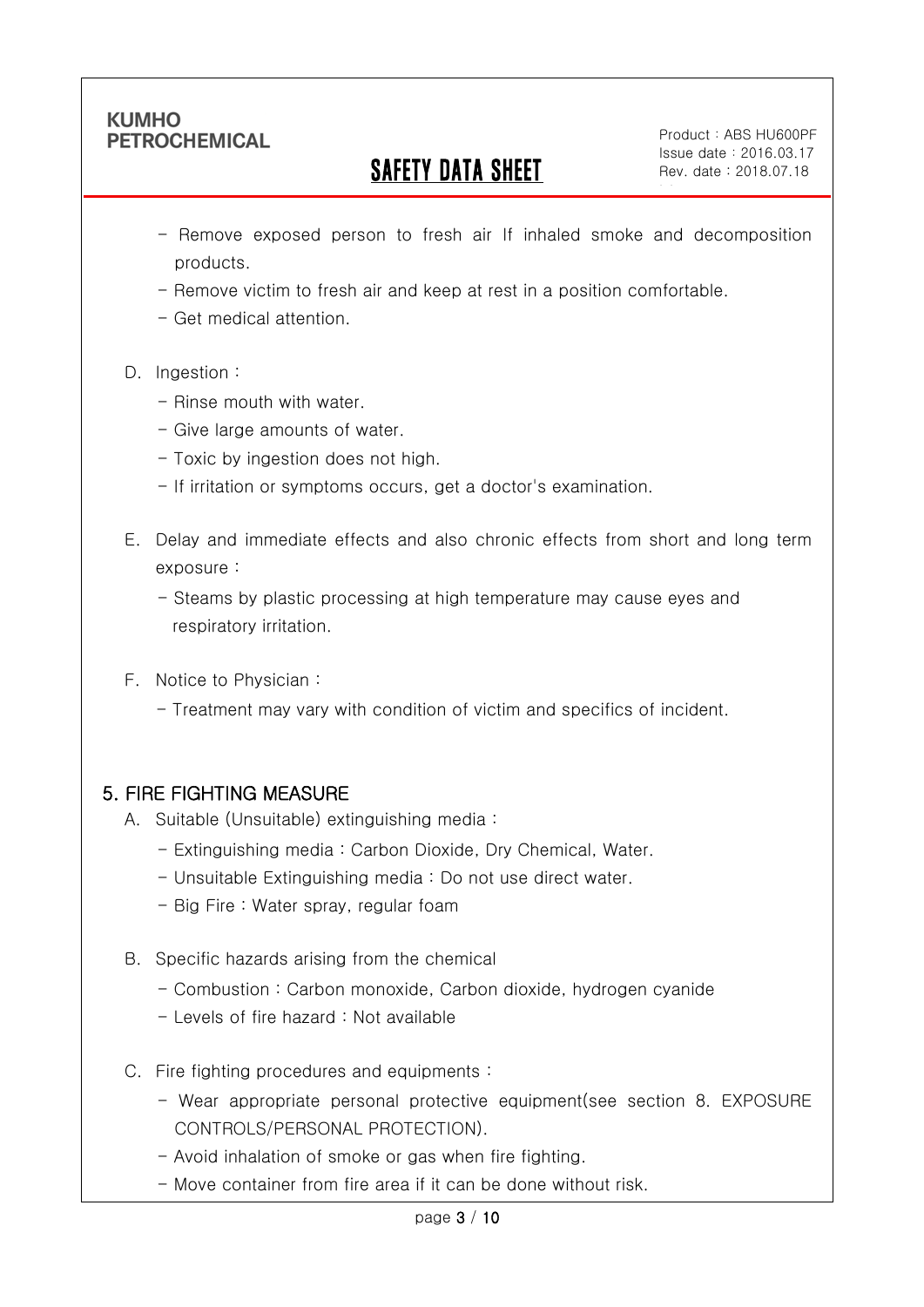Ī

## SAFETY DATA SHEET

Product: ABS HU600PF Issue date:2016.03.17 Rev. date : 2018.07.18

ble

- Remove exposed person to fresh air If inhaled smoke and decomposition products.
- Remove victim to fresh air and keep at rest in a position comfortable.
- Get medical attention.
- D. Ingestion:
	- Rinse mouth with water
	- Give large amounts of water.
	- Toxic by ingestion does not high.
	- If irritation or symptoms occurs, get a doctor's examination.
- E. Delay and immediate effects and also chronic effects from short and long term exposure :
	- Steams by plastic processing at high temperature may cause eyes and respiratory irritation.
- F. Notice to Physician :
	- Treatment may vary with condition of victim and specifics of incident.

## 5. FIRE FIGHTING MEASURE

- A. Suitable (Unsuitable) extinguishing media :
	- Extinguishing media : Carbon Dioxide, Dry Chemical, Water.
	- Unsuitable Extinguishing media : Do not use direct water.
	- Big Fire : Water spray, regular foam
- B. Specific hazards arising from the chemical
	- Combustion : Carbon monoxide, Carbon dioxide, hydrogen cyanide
	- Levels of fire hazard : Not available
- C. Fire fighting procedures and equipments :
	- Wear appropriate personal protective equipment(see section 8. EXPOSURE CONTROLS/PERSONAL PROTECTION).
	- Avoid inhalation of smoke or gas when fire fighting.
	- Move container from fire area if it can be done without risk.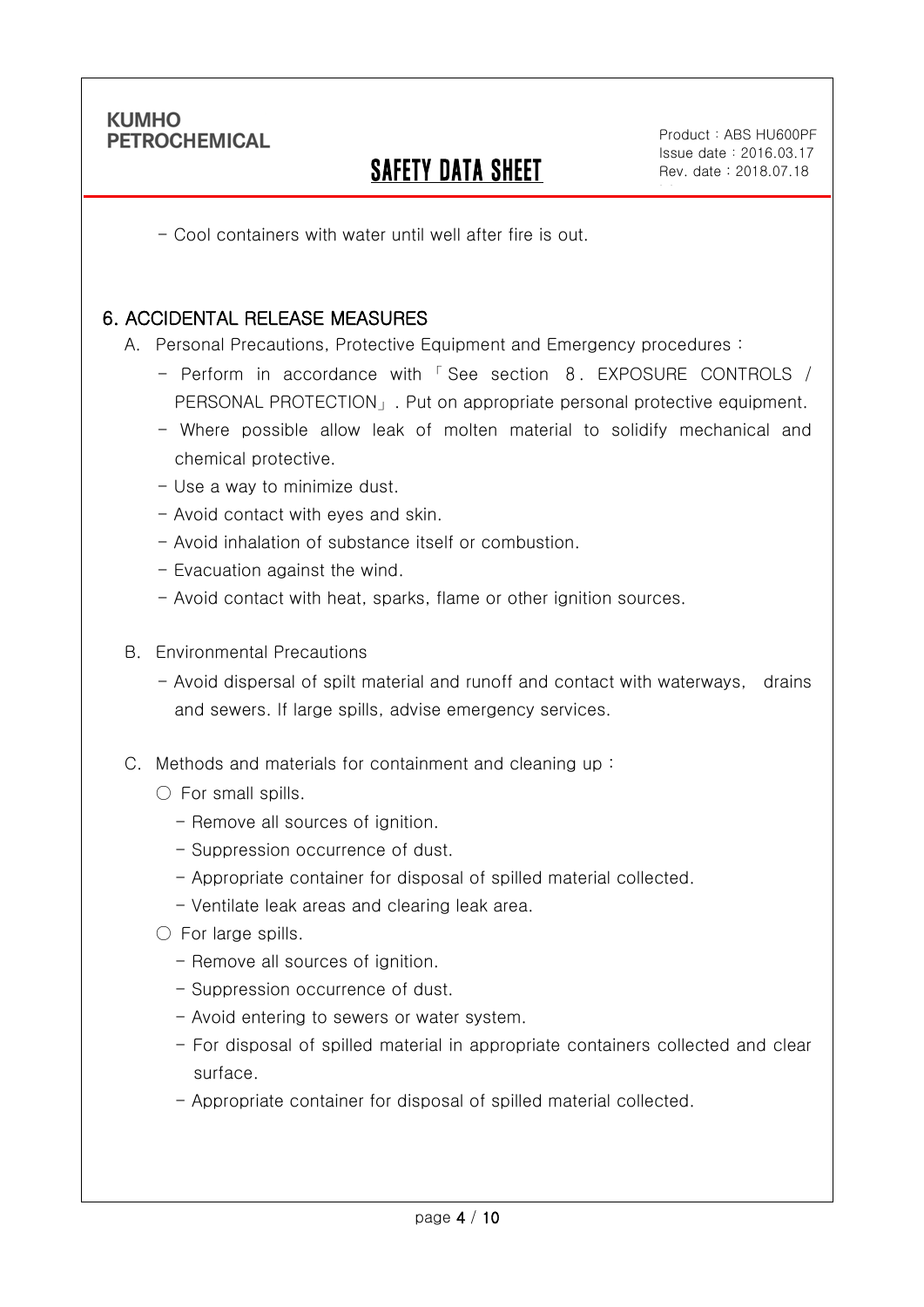Ī

## SAFETY DATA SHEET

Product: ABS HU600PF Issue date:2016.03.17 Rev. date : 2018.07.18

ble

- Cool containers with water until well after fire is out.

#### 6. ACCIDENTAL RELEASE MEASURES

A. Personal Precautions, Protective Equipment and Emergency procedures :

- Perform in accordance with 「 See section 8. EXPOSURE CONTROLS / PERSONAL PROTECTION」. Put on appropriate personal protective equipment.
- Where possible allow leak of molten material to solidify mechanical and chemical protective.
- Use a way to minimize dust.
- Avoid contact with eyes and skin.
- Avoid inhalation of substance itself or combustion.
- Evacuation against the wind.
- Avoid contact with heat, sparks, flame or other ignition sources.
- B. Environmental Precautions
	- Avoid dispersal of spilt material and runoff and contact with waterways, drains and sewers. If large spills, advise emergency services.
- C. Methods and materials for containment and cleaning up :
	- $\bigcirc$  For small spills.
		- Remove all sources of ignition.
		- Suppression occurrence of dust.
		- Appropriate container for disposal of spilled material collected.
		- Ventilate leak areas and clearing leak area.
	- For large spills.
		- Remove all sources of ignition.
		- Suppression occurrence of dust.
		- Avoid entering to sewers or water system.
		- For disposal of spilled material in appropriate containers collected and clear surface.
		- Appropriate container for disposal of spilled material collected.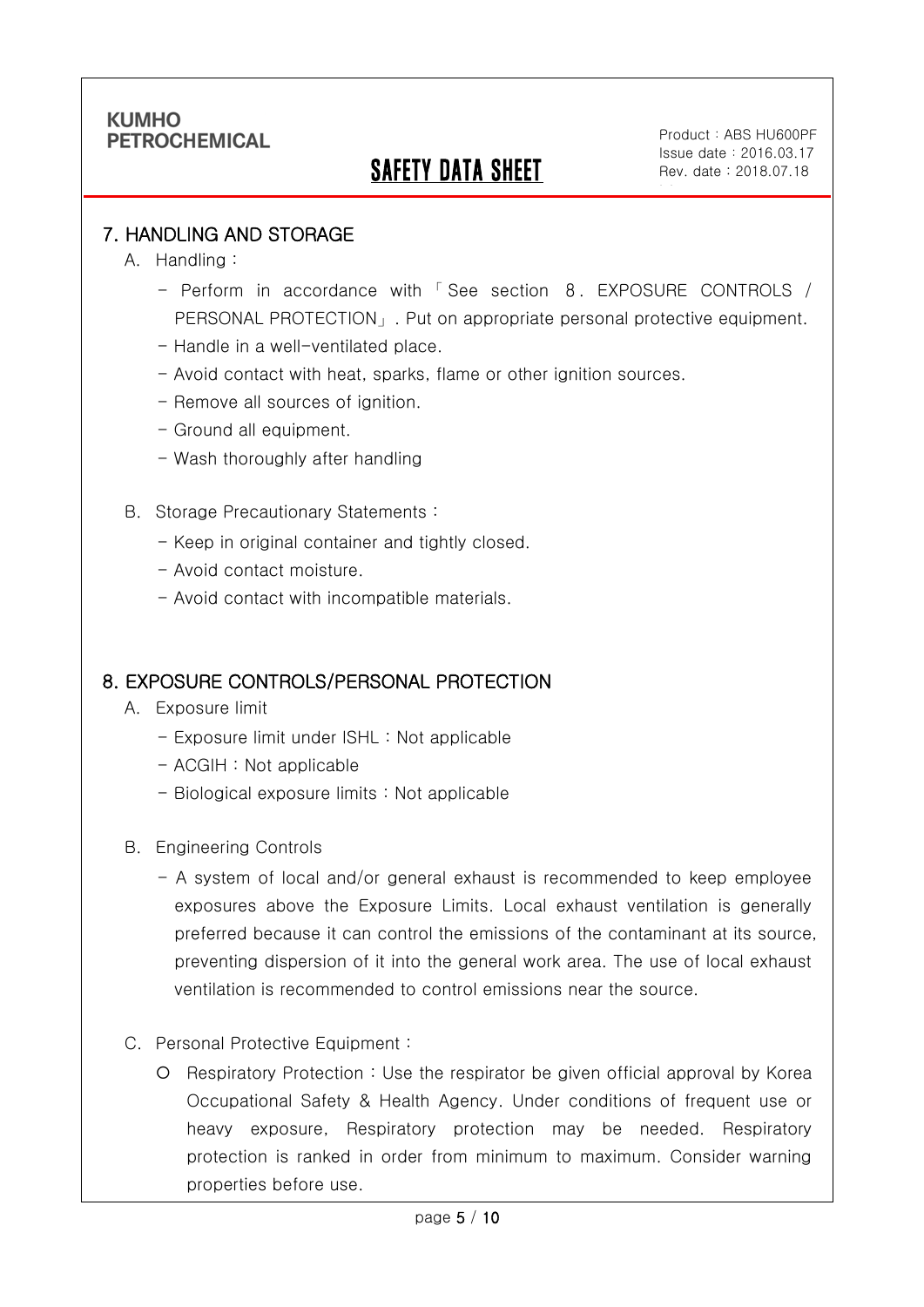## SAFETY DATA SHEET

Product: ABS HU600PF Issue date:2016.03.17 Rev. date : 2018.07.18

ble

#### 7. HANDLING AND STORAGE

A. Handling :

Ī

- Perform in accordance with 「 See section 8. EXPOSURE CONTROLS / PERSONAL PROTECTION」. Put on appropriate personal protective equipment.
- Handle in a well-ventilated place.
- Avoid contact with heat, sparks, flame or other ignition sources.
- Remove all sources of ignition.
- Ground all equipment.
- Wash thoroughly after handling
- B. Storage Precautionary Statements :
	- Keep in original container and tightly closed.
	- Avoid contact moisture.
	- Avoid contact with incompatible materials.

#### 8. EXPOSURE CONTROLS/PERSONAL PROTECTION

- A. Exposure limit
	- Exposure limit under ISHL : Not applicable
	- ACGIH : Not applicable
	- Biological exposure limits : Not applicable
- B. Engineering Controls
	- A system of local and/or general exhaust is recommended to keep employee exposures above the Exposure Limits. Local exhaust ventilation is generally preferred because it can control the emissions of the contaminant at its source, preventing dispersion of it into the general work area. The use of local exhaust ventilation is recommended to control emissions near the source.
- C. Personal Protective Equipment :
	- Respiratory Protection : Use the respirator be given official approval by Korea Occupational Safety & Health Agency. Under conditions of frequent use or heavy exposure, Respiratory protection may be needed. Respiratory protection is ranked in order from minimum to maximum. Consider warning properties before use.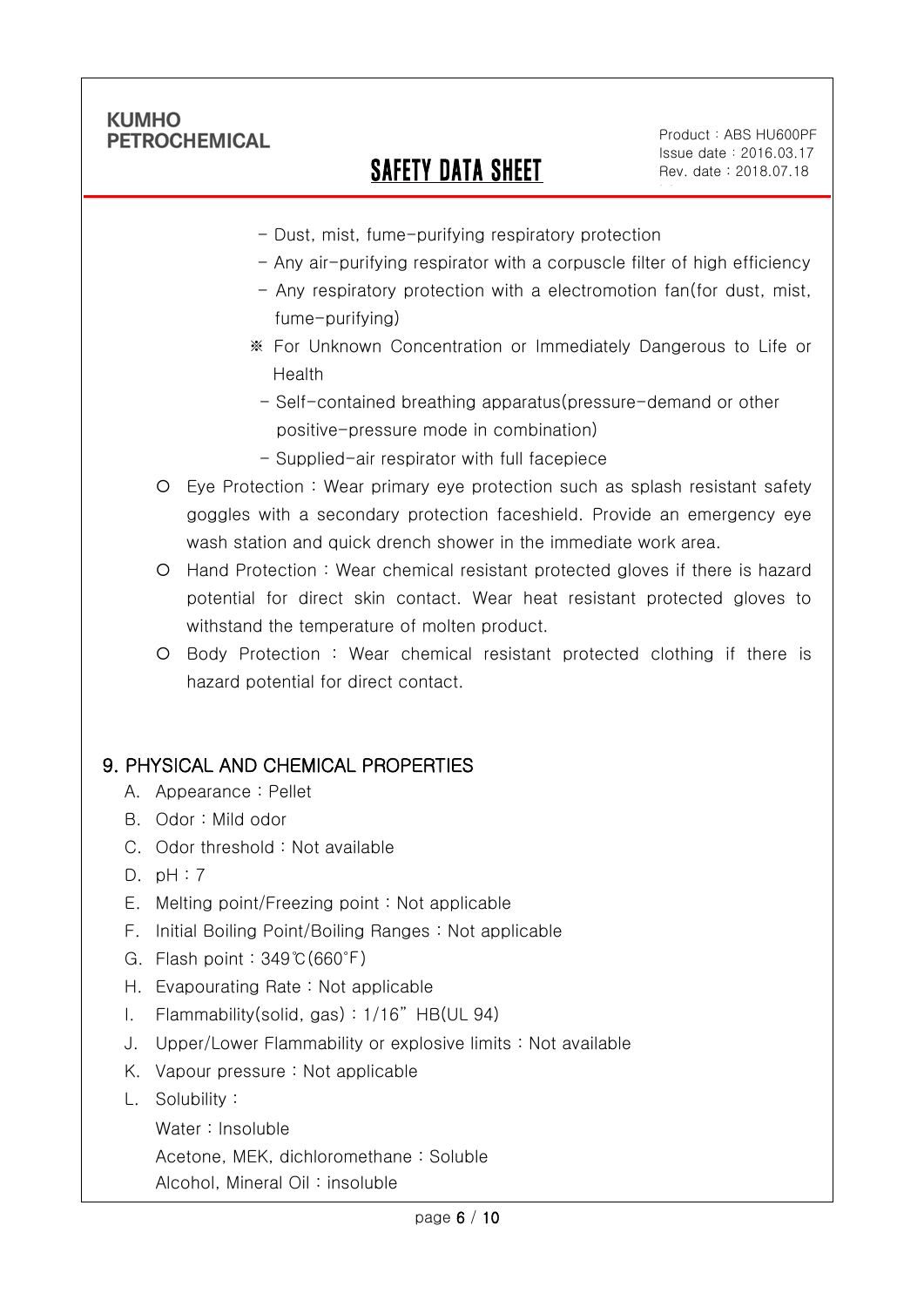Ī

# SAFETY DATA SHEET

Product: ABS HU600PF Issue date:2016.03.17 Rev. date : 2018.07.18

ble

- Dust, mist, fume-purifying respiratory protection
- Any air-purifying respirator with a corpuscle filter of high efficiency
- Any respiratory protection with a electromotion fan(for dust, mist, fume-purifying)
- ※ For Unknown Concentration or Immediately Dangerous to Life or Health
- Self-contained breathing apparatus(pressure-demand or other positive-pressure mode in combination)
- Supplied-air respirator with full facepiece
- Eye Protection : Wear primary eye protection such as splash resistant safety goggles with a secondary protection faceshield. Provide an emergency eye wash station and quick drench shower in the immediate work area.
- Hand Protection : Wear chemical resistant protected gloves if there is hazard potential for direct skin contact. Wear heat resistant protected gloves to withstand the temperature of molten product.
- Body Protection : Wear chemical resistant protected clothing if there is hazard potential for direct contact.

### 9. PHYSICAL AND CHEMICAL PROPERTIES

- A. Appearance : Pellet
- B. Odor : Mild odor
- C. Odor threshold : Not available
- D. pH : 7
- E. Melting point/Freezing point : Not applicable
- F. Initial Boiling Point/Boiling Ranges : Not applicable
- G. Flash point : 349℃(660℉)
- H. Evapourating Rate : Not applicable
- I. Flammability(solid, gas) : 1/16" HB(UL 94)
- J. Upper/Lower Flammability or explosive limits : Not available
- K. Vapour pressure : Not applicable
- L. Solubility :
	- Water : Insoluble

Acetone, MEK, dichloromethane : Soluble

Alcohol, Mineral Oil : insoluble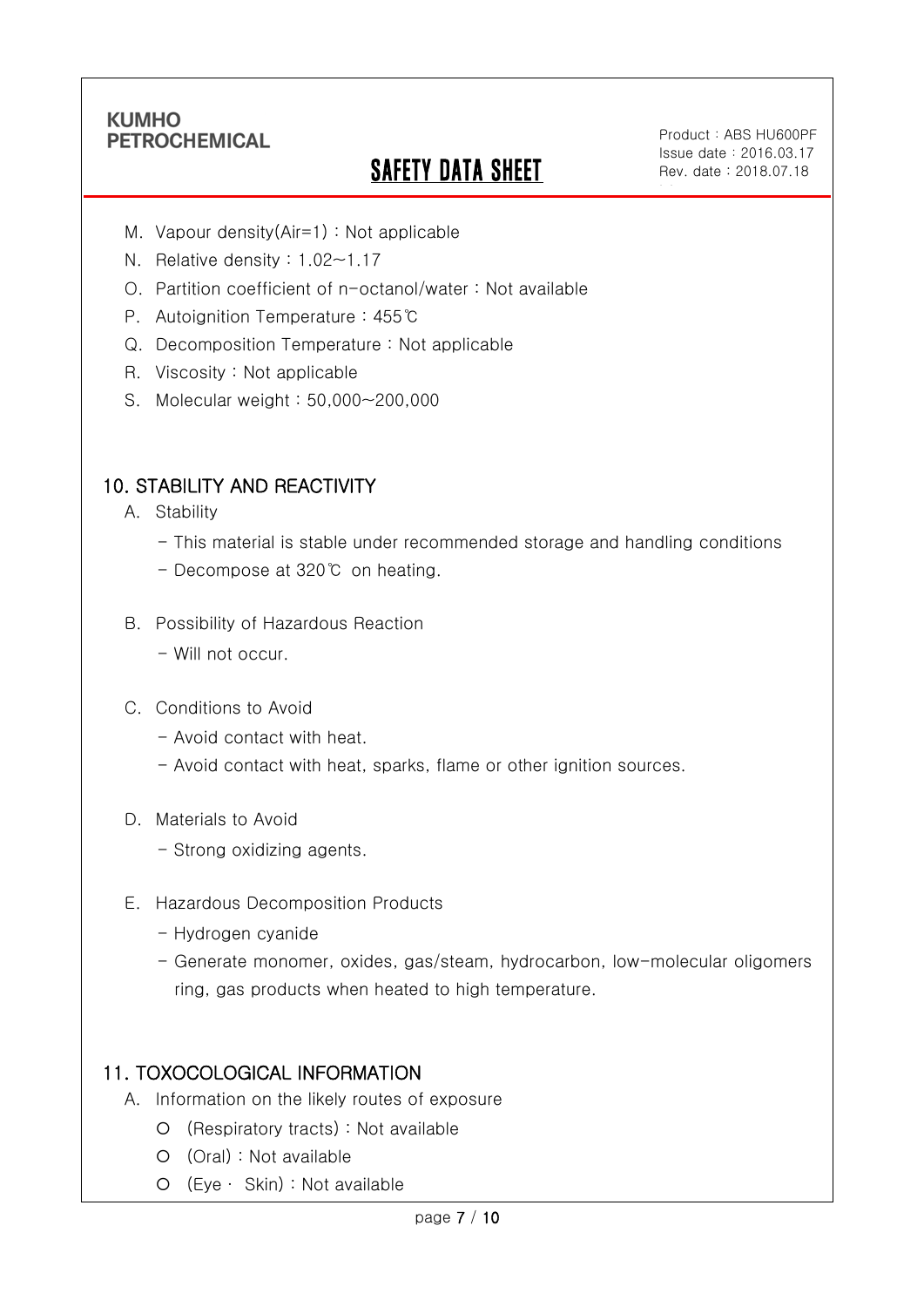Ī

# **SAFETY DATA SHEET**

Product: ABS HU600PF Issue date:2016.03.17 Rev. date : 2018.07.18

ble

- M. Vapour density(Air=1) : Not applicable
- N. Relative density : 1.02~1.17
- O. Partition coefficient of n-octanol/water : Not available
- P. Autoignition Temperature : 455℃
- Q. Decomposition Temperature : Not applicable
- R. Viscosity : Not applicable
- S. Molecular weight : 50,000~200,000

### 10. STABILITY AND REACTIVITY

- A. Stability
	- This material is stable under recommended storage and handling conditions
	- Decompose at 320℃ on heating.
- B. Possibility of Hazardous Reaction
	- Will not occur.
- C. Conditions to Avoid
	- Avoid contact with heat.
	- Avoid contact with heat, sparks, flame or other ignition sources.
- D. Materials to Avoid
	- Strong oxidizing agents.
- E. Hazardous Decomposition Products
	- Hydrogen cyanide
	- Generate monomer, oxides, gas/steam, hydrocarbon, low-molecular oligomers ring, gas products when heated to high temperature.

### 11. TOXOCOLOGICAL INFORMATION

- A. Information on the likely routes of exposure
	- (Respiratory tracts) : Not available
	- (Oral) : Not available
	- (Eye ∙ Skin) : Not available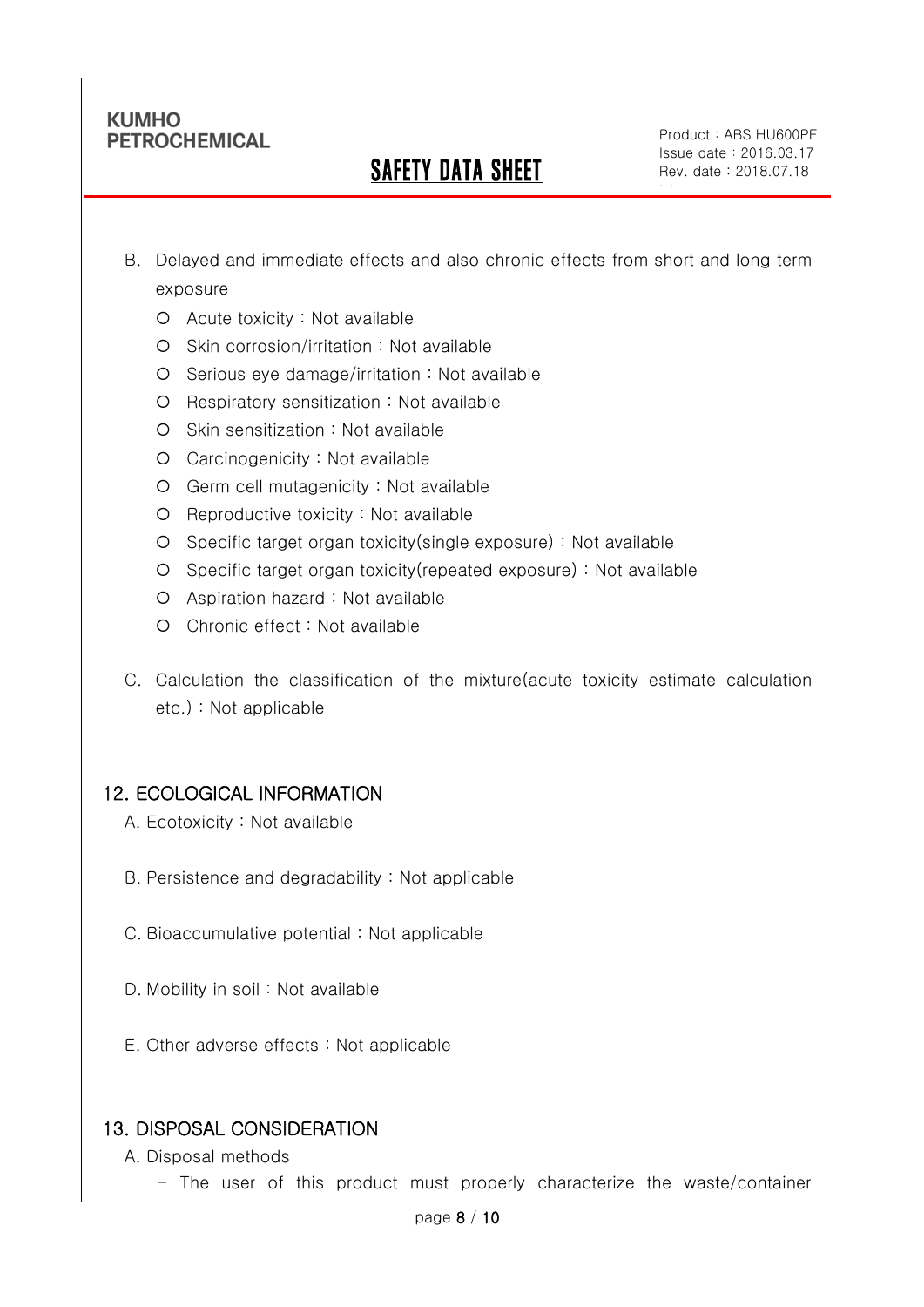Ī

## SAFETY DATA SHEET

Product: ABS HU600PF Issue date:2016.03.17 Rev. date : 2018.07.18

ble

- B. Delayed and immediate effects and also chronic effects from short and long term exposure
	- Acute toxicity : Not available
	- O Skin corrosion/irritation : Not available
	- $O$  Serious eye damage/irritation : Not available
	- O Respiratory sensitization : Not available
	- O Skin sensitization : Not available
	- Carcinogenicity : Not available
	- Germ cell mutagenicity : Not available
	- $O$  Reproductive toxicity : Not available
	- Specific target organ toxicity(single exposure) : Not available
	- Specific target organ toxicity(repeated exposure) : Not available
	- Aspiration hazard : Not available
	- Chronic effect : Not available
- C. Calculation the classification of the mixture(acute toxicity estimate calculation etc.) : Not applicable

### 12. ECOLOGICAL INFORMATION

- A. Ecotoxicity : Not available
- B. Persistence and degradability : Not applicable
- C. Bioaccumulative potential : Not applicable
- D. Mobility in soil : Not available
- E. Other adverse effects : Not applicable

### 13. DISPOSAL CONSIDERATION

- A. Disposal methods
	- The user of this product must properly characterize the waste/container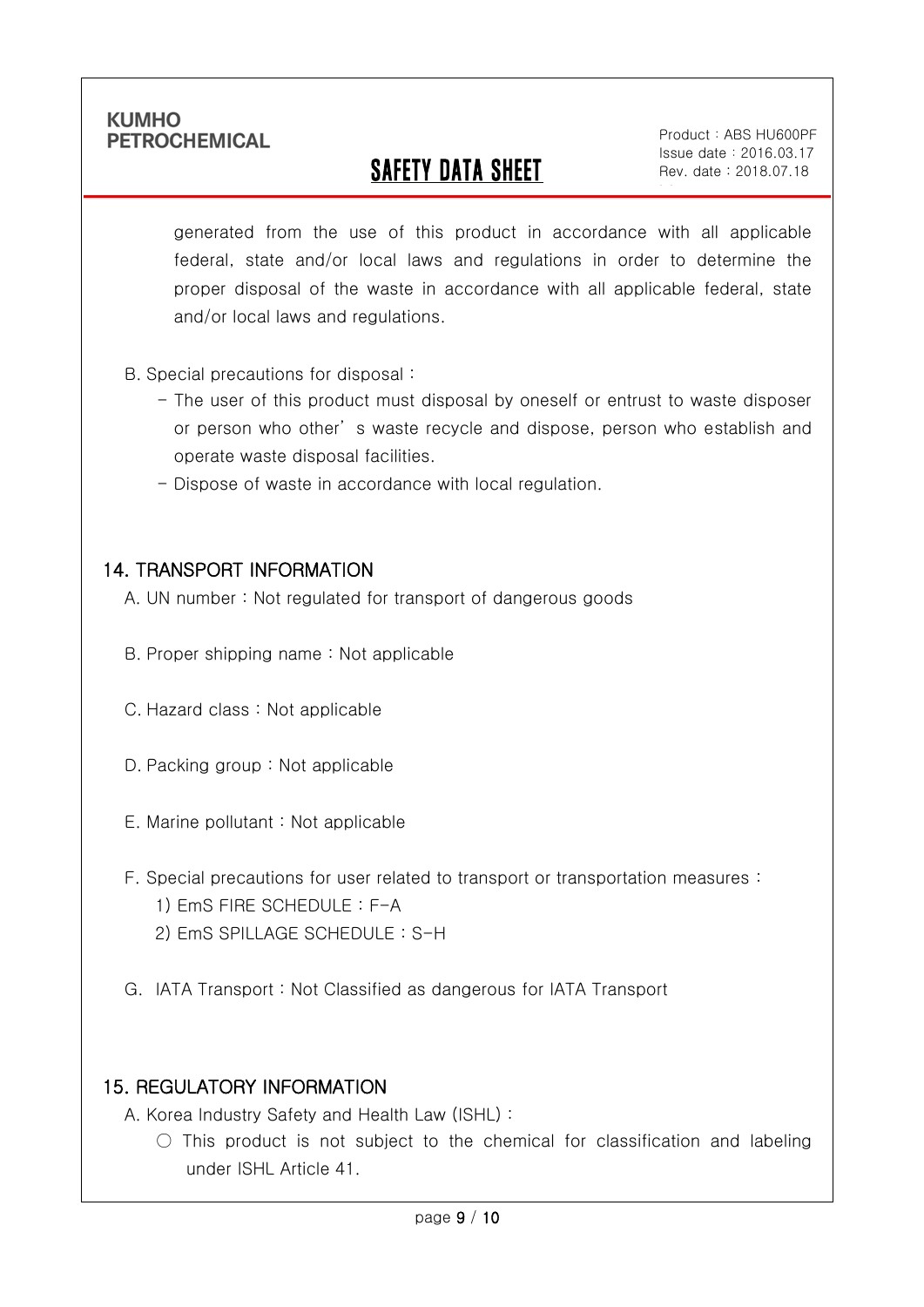Ī

# SAFETY DATA SHEET

Product: ABS HU600PF Issue date:2016.03.17 Rev. date : 2018.07.18

ble

generated from the use of this product in accordance with all applicable federal, state and/or local laws and regulations in order to determine the proper disposal of the waste in accordance with all applicable federal, state and/or local laws and regulations.

- B. Special precautions for disposal :
	- The user of this product must disposal by oneself or entrust to waste disposer or person who other' s waste recycle and dispose, person who establish and operate waste disposal facilities.
	- Dispose of waste in accordance with local regulation.

#### 14. TRANSPORT INFORMATION

- A. UN number : Not regulated for transport of dangerous goods
- B. Proper shipping name : Not applicable
- C. Hazard class : Not applicable
- D. Packing group : Not applicable
- E. Marine pollutant : Not applicable
- F. Special precautions for user related to transport or transportation measures :
	- 1) EmS FIRE SCHEDULE : F-A
	- 2) EmS SPILLAGE SCHEDULE : S-H
- G. IATA Transport : Not Classified as dangerous for IATA Transport

### 15. REGULATORY INFORMATION

A. Korea Industry Safety and Health Law (ISHL) :

 $\bigcirc$  This product is not subject to the chemical for classification and labeling under ISHL Article 41.